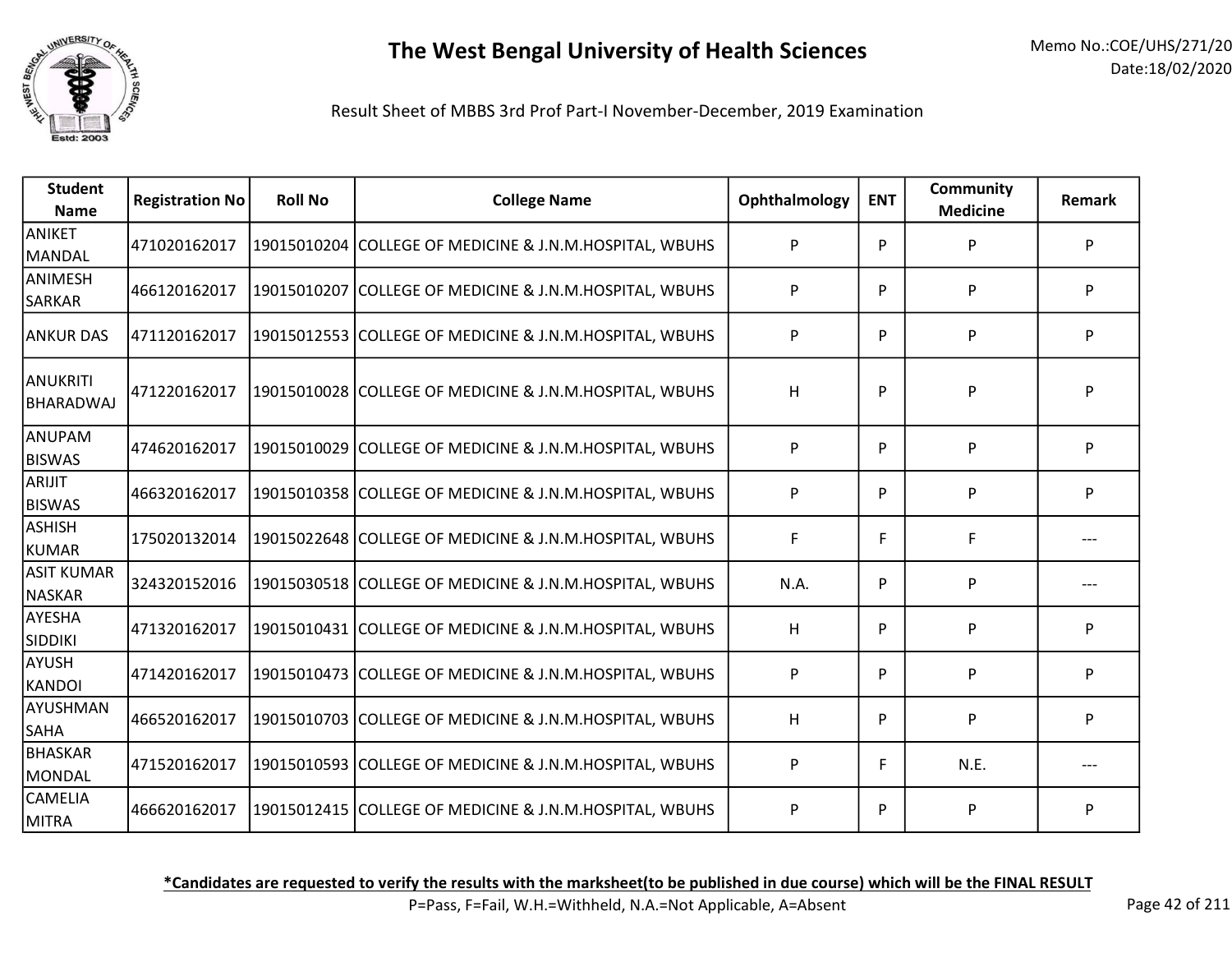

Result Sheet of MBBS 3rd Prof Part-I November-December, 2019 Examination

| <b>Student</b><br><b>Name</b> | <b>Registration No</b> | <b>Roll No</b> | <b>College Name</b>                                     | Ophthalmology | <b>ENT</b> | <b>Community</b><br><b>Medicine</b> | <b>Remark</b> |
|-------------------------------|------------------------|----------------|---------------------------------------------------------|---------------|------------|-------------------------------------|---------------|
| ANIKET<br>MANDAL              | 471020162017           |                | 19015010204 COLLEGE OF MEDICINE & J.N.M.HOSPITAL, WBUHS | P             | P          | P                                   | P             |
| ANIMESH<br><b>SARKAR</b>      | 466120162017           |                | 19015010207 COLLEGE OF MEDICINE & J.N.M.HOSPITAL, WBUHS | P             | P          | P                                   | P             |
| <b>ANKUR DAS</b>              | 471120162017           |                | 19015012553 COLLEGE OF MEDICINE & J.N.M.HOSPITAL, WBUHS | P             | P          | P                                   | P             |
| IANUKRITI<br>BHARADWAJ        | 471220162017           |                | 19015010028 COLLEGE OF MEDICINE & J.N.M.HOSPITAL, WBUHS | H             | P          | P                                   | P             |
| ANUPAM<br><b>BISWAS</b>       | 474620162017           |                | 19015010029 COLLEGE OF MEDICINE & J.N.M.HOSPITAL, WBUHS | P             | P          | P                                   | P             |
| ARIJIT<br><b>BISWAS</b>       | 466320162017           |                | 19015010358 COLLEGE OF MEDICINE & J.N.M.HOSPITAL, WBUHS | P             | P          | P                                   | P             |
| <b>ASHISH</b><br><b>KUMAR</b> | 175020132014           |                | 19015022648 COLLEGE OF MEDICINE & J.N.M.HOSPITAL, WBUHS | F             | F          | F                                   |               |
| <b>ASIT KUMAR</b><br>NASKAR   | 324320152016           |                | 19015030518 COLLEGE OF MEDICINE & J.N.M.HOSPITAL, WBUHS | N.A.          | P          | P                                   |               |
| AYESHA<br><b>SIDDIKI</b>      | 471320162017           |                | 19015010431 COLLEGE OF MEDICINE & J.N.M.HOSPITAL, WBUHS | H             | P          | P                                   | P             |
| <b>AYUSH</b><br>KANDOI        | 471420162017           |                | 19015010473 COLLEGE OF MEDICINE & J.N.M.HOSPITAL, WBUHS | P             | P          | P                                   | P             |
| AYUSHMAN<br><b>SAHA</b>       | 466520162017           |                | 19015010703 COLLEGE OF MEDICINE & J.N.M.HOSPITAL, WBUHS | H             | P          | P                                   | P             |
| BHASKAR<br>MONDAL             | 471520162017           |                | 19015010593 COLLEGE OF MEDICINE & J.N.M.HOSPITAL, WBUHS | P             | F          | N.E.                                |               |
| <b>CAMELIA</b><br>MITRA       | 466620162017           |                | 19015012415 COLLEGE OF MEDICINE & J.N.M.HOSPITAL, WBUHS | P             | P          | P                                   | P             |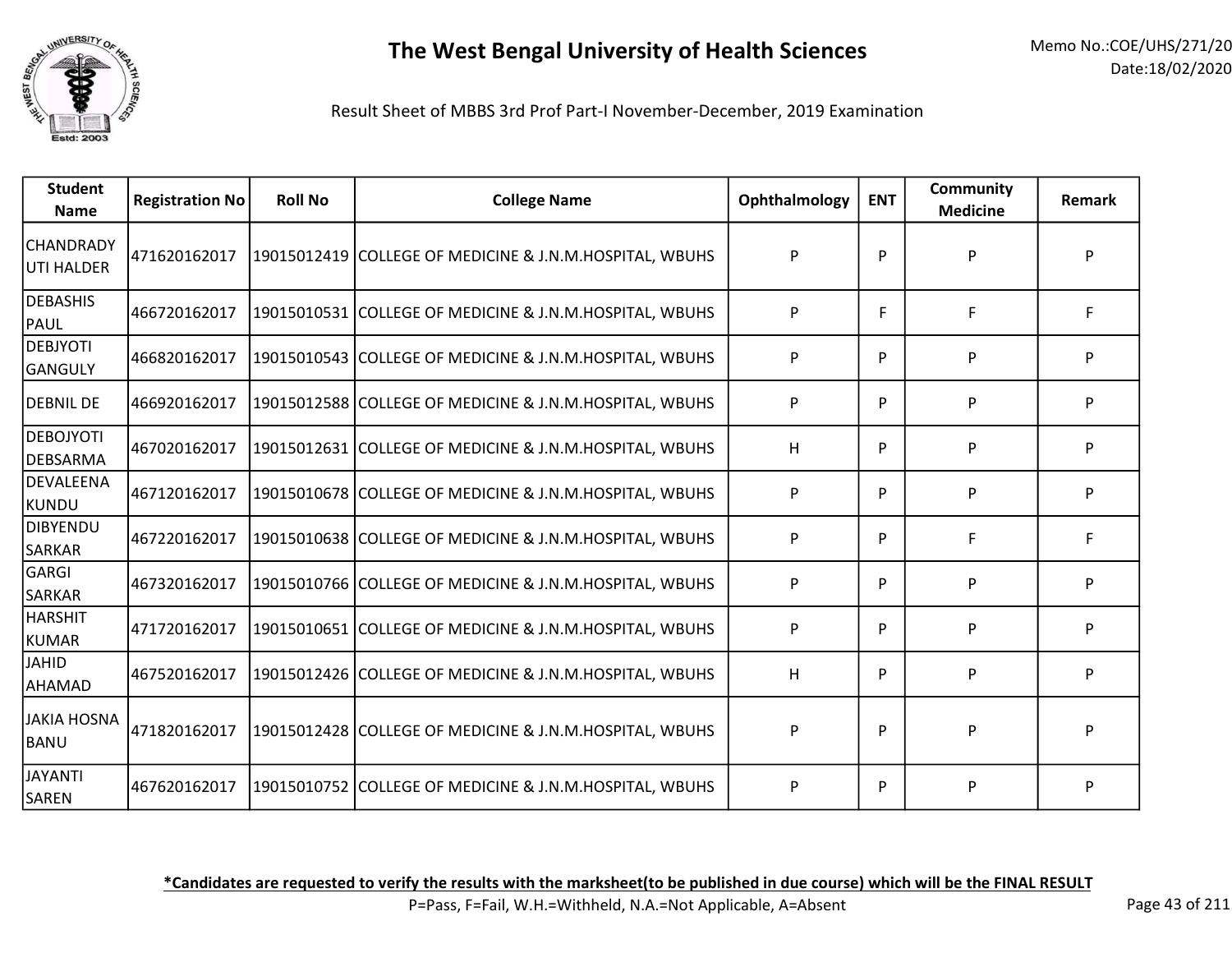

Result Sheet of MBBS 3rd Prof Part-I November-December, 2019 Examination

| <b>Student</b><br><b>Name</b>  | <b>Registration No</b> | <b>Roll No</b> | <b>College Name</b>                                     | Ophthalmology | <b>ENT</b> | <b>Community</b><br><b>Medicine</b> | Remark |
|--------------------------------|------------------------|----------------|---------------------------------------------------------|---------------|------------|-------------------------------------|--------|
| <b>CHANDRADY</b><br>UTI HALDER | 471620162017           |                | 19015012419 COLLEGE OF MEDICINE & J.N.M.HOSPITAL, WBUHS | P             | P          | P                                   | P      |
| DEBASHIS<br><b>PAUL</b>        | 466720162017           |                | 19015010531 COLLEGE OF MEDICINE & J.N.M.HOSPITAL, WBUHS | P             | F          | F                                   | F      |
| <b>DEBJYOTI</b><br>GANGULY     | 466820162017           |                | 19015010543 COLLEGE OF MEDICINE & J.N.M.HOSPITAL, WBUHS | P             | P          | P                                   | P      |
| <b>DEBNIL DE</b>               | 466920162017           |                | 19015012588 COLLEGE OF MEDICINE & J.N.M.HOSPITAL, WBUHS | P             | P          | P                                   | P      |
| <b>DEBOJYOTI</b><br>DEBSARMA   | 467020162017           |                | 19015012631 COLLEGE OF MEDICINE & J.N.M.HOSPITAL, WBUHS | H             | P          | P                                   | P      |
| DEVALEENA<br> KUNDU            | 467120162017           |                | 19015010678 COLLEGE OF MEDICINE & J.N.M.HOSPITAL, WBUHS | P             | P          | P                                   | P      |
| DIBYENDU<br><b>SARKAR</b>      | 467220162017           |                | 19015010638 COLLEGE OF MEDICINE & J.N.M.HOSPITAL, WBUHS | P             | P          | F                                   | F      |
| GARGI<br>SARKAR                | 467320162017           |                | 19015010766 COLLEGE OF MEDICINE & J.N.M.HOSPITAL, WBUHS | P             | P          | P                                   | P      |
| <b>HARSHIT</b><br>KUMAR        | 471720162017           |                | 19015010651 COLLEGE OF MEDICINE & J.N.M.HOSPITAL, WBUHS | P             | P          | P                                   | P      |
| <b>JAHID</b><br>AHAMAD         | 467520162017           |                | 19015012426 COLLEGE OF MEDICINE & J.N.M.HOSPITAL, WBUHS | H             | P          | P                                   | P      |
| <b>JAKIA HOSNA</b><br>BANU     | 471820162017           |                | 19015012428 COLLEGE OF MEDICINE & J.N.M.HOSPITAL, WBUHS | P             | P          | P                                   | P      |
| <b>JAYANTI</b><br>SAREN        | 467620162017           |                | 19015010752 COLLEGE OF MEDICINE & J.N.M.HOSPITAL, WBUHS | P             | P          | ${\sf P}$                           | P      |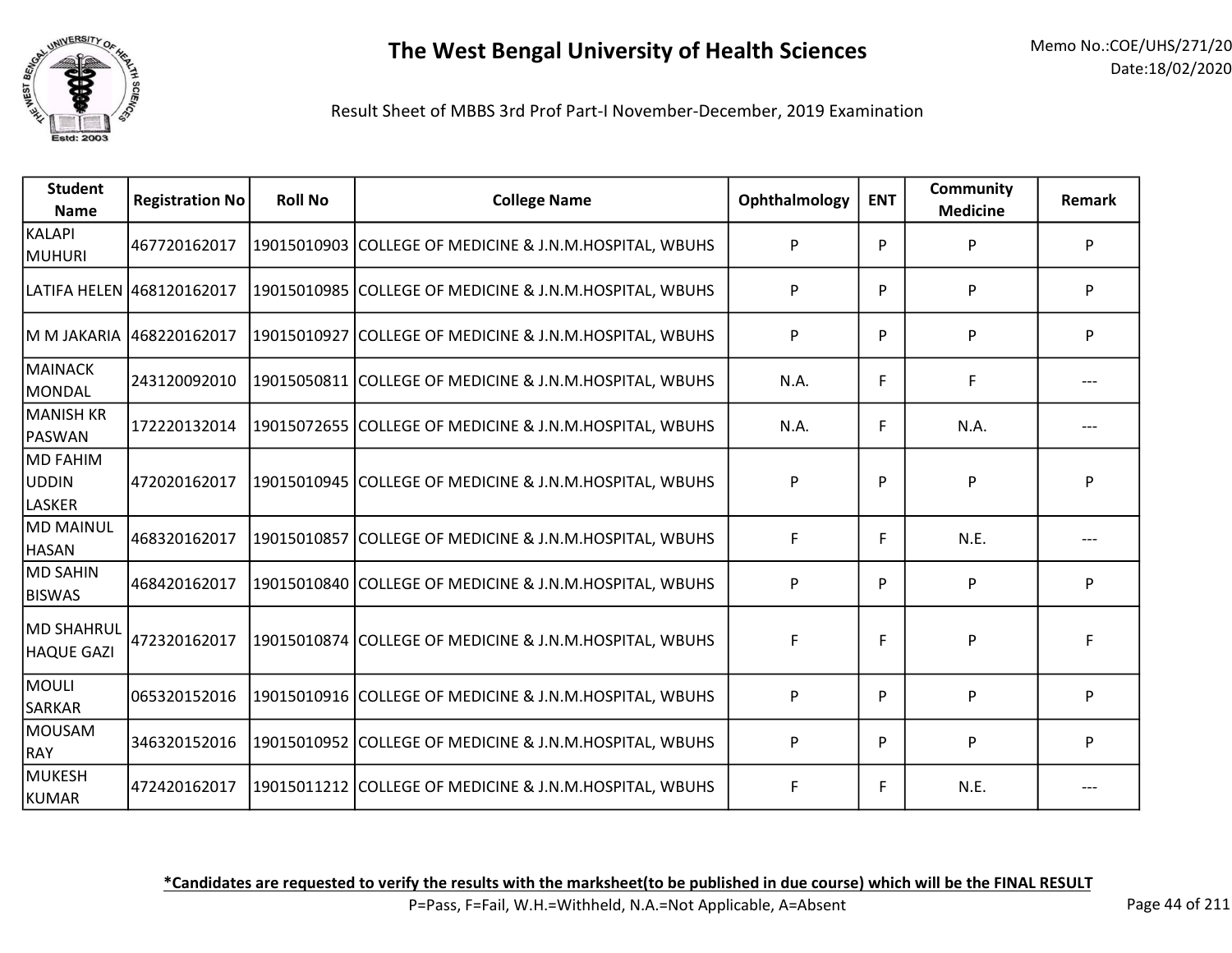

| <b>Student</b><br><b>Name</b>             | <b>Registration No</b>    | <b>Roll No</b> | <b>College Name</b>                                     | Ophthalmology | <b>ENT</b> | <b>Community</b><br><b>Medicine</b> | <b>Remark</b> |
|-------------------------------------------|---------------------------|----------------|---------------------------------------------------------|---------------|------------|-------------------------------------|---------------|
| <b>KALAPI</b><br><b>MUHURI</b>            | 467720162017              |                | 19015010903 COLLEGE OF MEDICINE & J.N.M.HOSPITAL, WBUHS | P             | Þ          | P                                   | P             |
|                                           | LATIFA HELEN 468120162017 |                | 19015010985 COLLEGE OF MEDICINE & J.N.M.HOSPITAL, WBUHS | P             | P          | P                                   | P             |
|                                           | M M JAKARIA 468220162017  |                | 19015010927 COLLEGE OF MEDICINE & J.N.M.HOSPITAL, WBUHS | P             | P          | P                                   | P             |
| <b>MAINACK</b><br><b>MONDAL</b>           | 243120092010              |                | 19015050811 COLLEGE OF MEDICINE & J.N.M.HOSPITAL, WBUHS | N.A.          | F          | F                                   |               |
| <b>MANISH KR</b><br>PASWAN                | 172220132014              |                | 19015072655 COLLEGE OF MEDICINE & J.N.M.HOSPITAL, WBUHS | N.A.          | F          | N.A.                                |               |
| <b>MD FAHIM</b><br>UDDIN<br><b>LASKER</b> | 472020162017              |                | 19015010945 COLLEGE OF MEDICINE & J.N.M.HOSPITAL, WBUHS | P             | P          | P                                   | P             |
| <b>MD MAINUL</b><br><b>HASAN</b>          | 468320162017              |                | 19015010857 COLLEGE OF MEDICINE & J.N.M.HOSPITAL, WBUHS | F             | F          | N.E.                                |               |
| <b>MD SAHIN</b><br><b>BISWAS</b>          | 468420162017              |                | 19015010840 COLLEGE OF MEDICINE & J.N.M.HOSPITAL, WBUHS | P             | P          | P                                   | P             |
| <b>MD SHAHRUL</b><br><b>HAQUE GAZI</b>    | 472320162017              |                | 19015010874 COLLEGE OF MEDICINE & J.N.M.HOSPITAL, WBUHS | F             | F          | P                                   | F             |
| <b>MOULI</b><br><b>SARKAR</b>             | 065320152016              |                | 19015010916 COLLEGE OF MEDICINE & J.N.M.HOSPITAL, WBUHS | P             | P          | P                                   | P             |
| <b>MOUSAM</b><br><b>RAY</b>               | 346320152016              |                | 19015010952 COLLEGE OF MEDICINE & J.N.M.HOSPITAL, WBUHS | P             | P          | P                                   | P             |
| MUKESH<br>KUMAR                           | 472420162017              |                | 19015011212 COLLEGE OF MEDICINE & J.N.M.HOSPITAL, WBUHS | F             | F          | N.E.                                |               |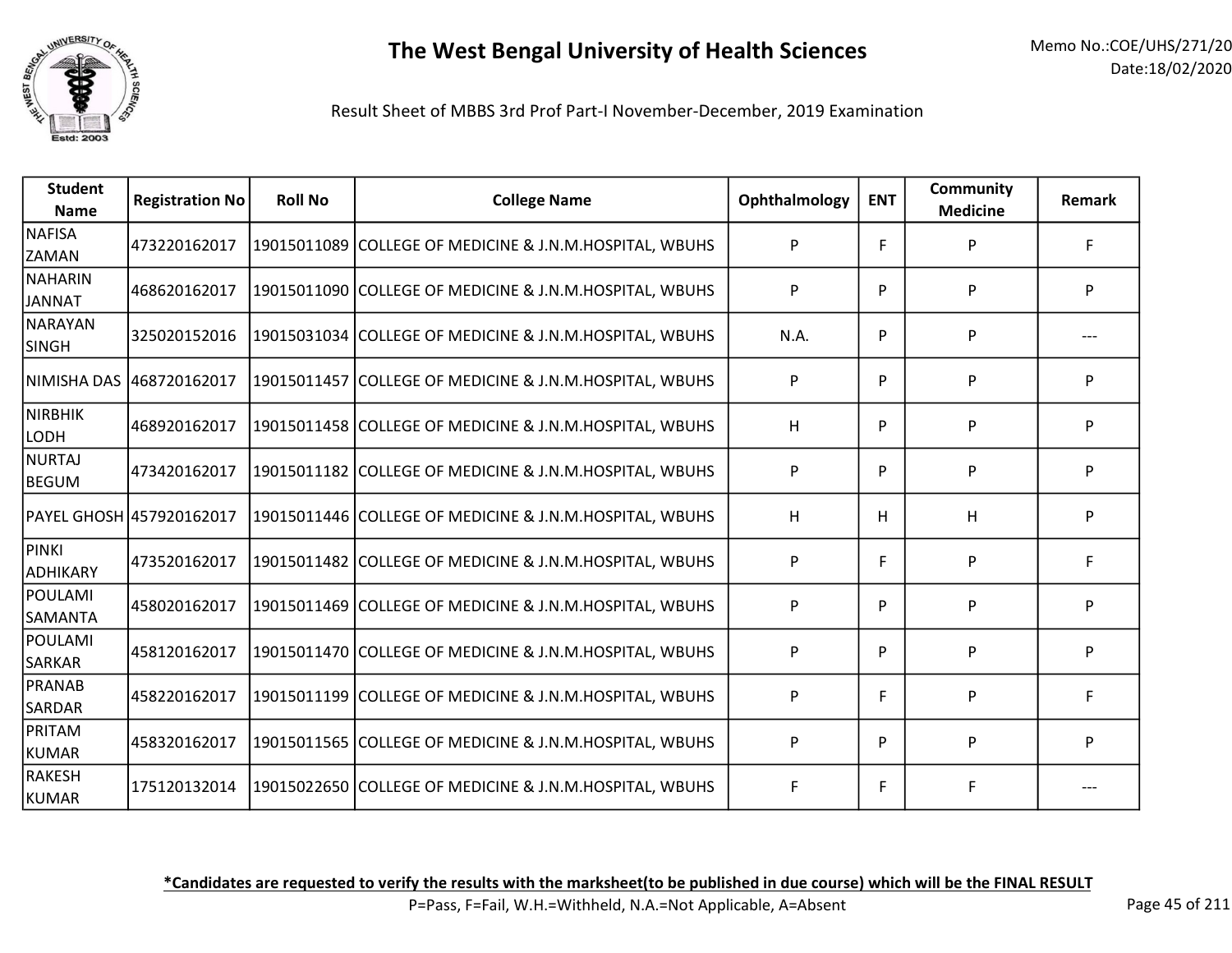

| <b>Student</b><br><b>Name</b> | <b>Registration No</b>   | <b>Roll No</b> | <b>College Name</b>                                     | Ophthalmology | <b>ENT</b> | <b>Community</b><br><b>Medicine</b> | Remark |
|-------------------------------|--------------------------|----------------|---------------------------------------------------------|---------------|------------|-------------------------------------|--------|
| NAFISA<br><b>ZAMAN</b>        | 473220162017             |                | 19015011089 COLLEGE OF MEDICINE & J.N.M.HOSPITAL, WBUHS | P             | F          | P                                   | F      |
| NAHARIN<br>JANNAT             | 468620162017             |                | 19015011090 COLLEGE OF MEDICINE & J.N.M.HOSPITAL, WBUHS | P             | P          | P                                   | P      |
| NARAYAN<br><b>SINGH</b>       | 325020152016             |                | 19015031034 COLLEGE OF MEDICINE & J.N.M.HOSPITAL, WBUHS | N.A.          | P          | P                                   |        |
| NIMISHA DAS                   | 468720162017             |                | 19015011457 COLLEGE OF MEDICINE & J.N.M.HOSPITAL, WBUHS | P             | P          | P                                   | P      |
| NIRBHIK<br>LODH               | 468920162017             |                | 19015011458 COLLEGE OF MEDICINE & J.N.M.HOSPITAL, WBUHS | H             | P          | P                                   | P      |
| <b>NURTAJ</b><br>BEGUM        | 473420162017             |                | 19015011182 COLLEGE OF MEDICINE & J.N.M.HOSPITAL, WBUHS | P             | P          | P                                   | P      |
|                               | PAYEL GHOSH 457920162017 |                | 19015011446 COLLEGE OF MEDICINE & J.N.M.HOSPITAL, WBUHS | H             | H          | H                                   | P      |
| PINKI<br>ADHIKARY             | 473520162017             |                | 19015011482 COLLEGE OF MEDICINE & J.N.M.HOSPITAL, WBUHS | P             | F          | P                                   | F.     |
| POULAMI<br><b>SAMANTA</b>     | 458020162017             |                | 19015011469 COLLEGE OF MEDICINE & J.N.M.HOSPITAL, WBUHS | P             | P          | P                                   | P      |
| POULAMI<br><b>SARKAR</b>      | 458120162017             |                | 19015011470 COLLEGE OF MEDICINE & J.N.M.HOSPITAL, WBUHS | P             | P          | P                                   | P      |
| PRANAB<br><b>SARDAR</b>       | 458220162017             |                | 19015011199 COLLEGE OF MEDICINE & J.N.M.HOSPITAL, WBUHS | P             | F          | P                                   | F      |
| PRITAM<br>KUMAR               | 458320162017             |                | 19015011565 COLLEGE OF MEDICINE & J.N.M.HOSPITAL, WBUHS | P             | P          | P                                   | P      |
| RAKESH<br>KUMAR               | 175120132014             |                | 19015022650 COLLEGE OF MEDICINE & J.N.M.HOSPITAL, WBUHS | F             | F          | F                                   |        |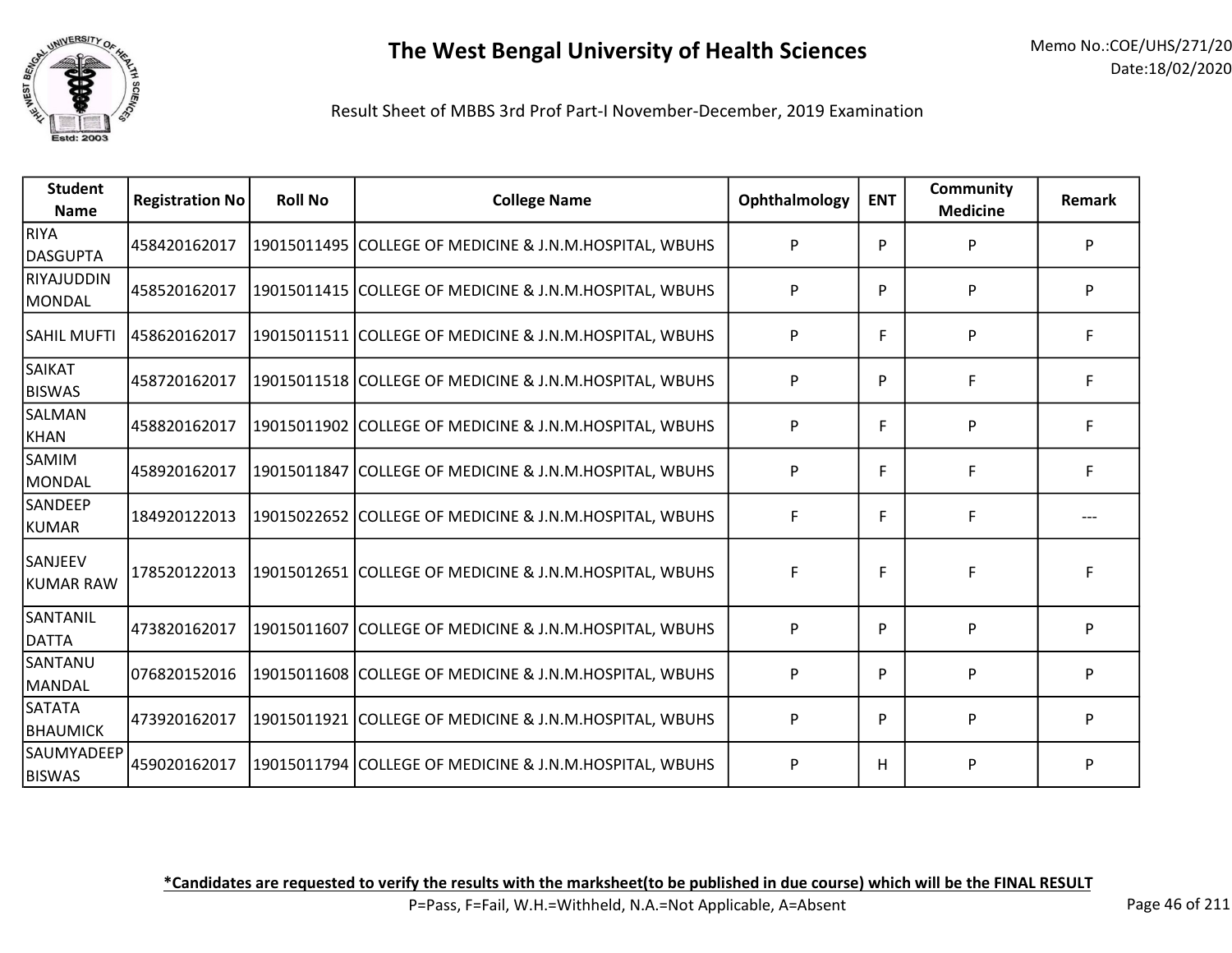

Result Sheet of MBBS 3rd Prof Part-I November-December, 2019 Examination

| <b>Student</b><br><b>Name</b> | <b>Registration No</b> | <b>Roll No</b> | <b>College Name</b>                                     | Ophthalmology | <b>ENT</b> | <b>Community</b><br><b>Medicine</b> | Remark |
|-------------------------------|------------------------|----------------|---------------------------------------------------------|---------------|------------|-------------------------------------|--------|
| RIYA<br><b>DASGUPTA</b>       | 458420162017           |                | 19015011495 COLLEGE OF MEDICINE & J.N.M.HOSPITAL, WBUHS | P             | P          | P                                   | P      |
| RIYAJUDDIN<br>MONDAL          | 458520162017           |                | 19015011415 COLLEGE OF MEDICINE & J.N.M.HOSPITAL, WBUHS | P             | P          | P                                   | P      |
| <b>SAHIL MUFTI</b>            | 458620162017           |                | 19015011511 COLLEGE OF MEDICINE & J.N.M.HOSPITAL, WBUHS | P             | F          | P                                   | F      |
| SAIKAT<br><b>BISWAS</b>       | 458720162017           |                | 19015011518 COLLEGE OF MEDICINE & J.N.M.HOSPITAL, WBUHS | P             | P          | F                                   | F      |
| SALMAN<br>KHAN                | 458820162017           |                | 19015011902 COLLEGE OF MEDICINE & J.N.M.HOSPITAL, WBUHS | P             | F          | P                                   | F      |
| <b>SAMIM</b><br>MONDAL        | 458920162017           |                | 19015011847 COLLEGE OF MEDICINE & J.N.M.HOSPITAL, WBUHS | P             | F          | F                                   | F      |
| SANDEEP<br>KUMAR              | 184920122013           |                | 19015022652 COLLEGE OF MEDICINE & J.N.M.HOSPITAL, WBUHS | F             | F          | F                                   |        |
| SANJEEV<br><b>KUMAR RAW</b>   | 178520122013           |                | 19015012651 COLLEGE OF MEDICINE & J.N.M.HOSPITAL, WBUHS | F             | F          | F                                   | F      |
| SANTANIL<br><b>DATTA</b>      | 473820162017           |                | 19015011607 COLLEGE OF MEDICINE & J.N.M.HOSPITAL, WBUHS | P             | P          | P                                   | P      |
| SANTANU<br>MANDAL             | 076820152016           |                | 19015011608 COLLEGE OF MEDICINE & J.N.M.HOSPITAL, WBUHS | P             | P          | P                                   | P      |
| SATATA<br><b>BHAUMICK</b>     | 473920162017           |                | 19015011921 COLLEGE OF MEDICINE & J.N.M.HOSPITAL, WBUHS | P             | P          | P                                   | P      |
| SAUMYADEEP<br><b>BISWAS</b>   | 459020162017           |                | 19015011794 COLLEGE OF MEDICINE & J.N.M.HOSPITAL, WBUHS | P             | H          | P                                   | P      |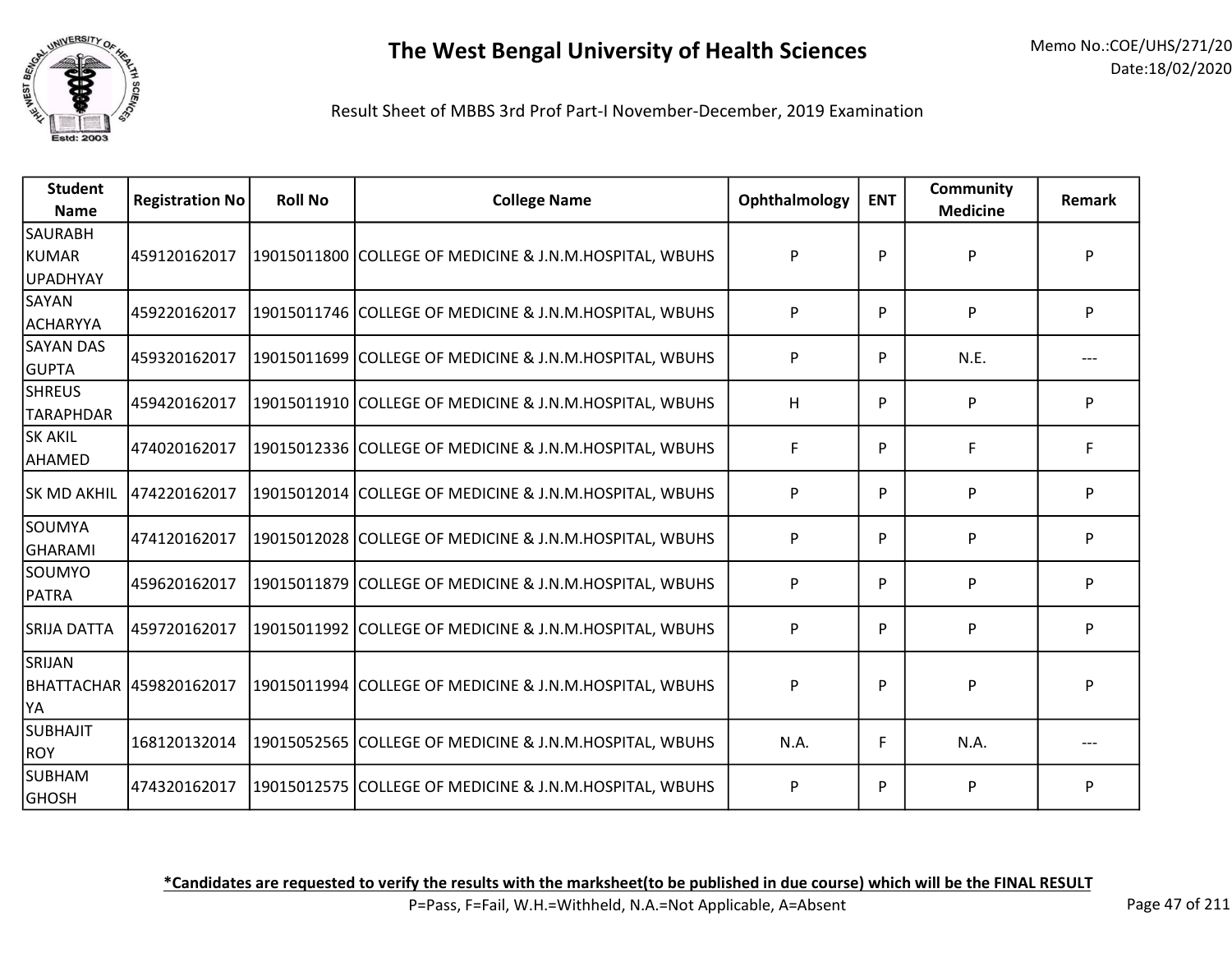

| <b>Student</b><br><b>Name</b>       | <b>Registration No</b> | <b>Roll No</b> | <b>College Name</b>                                     | Ophthalmology | <b>ENT</b> | <b>Community</b><br><b>Medicine</b> | Remark |
|-------------------------------------|------------------------|----------------|---------------------------------------------------------|---------------|------------|-------------------------------------|--------|
| SAURABH<br><b>KUMAR</b><br>UPADHYAY | 459120162017           |                | 19015011800 COLLEGE OF MEDICINE & J.N.M.HOSPITAL, WBUHS | P             | P          | P                                   | P      |
| SAYAN<br><b>ACHARYYA</b>            | 459220162017           |                | 19015011746 COLLEGE OF MEDICINE & J.N.M.HOSPITAL, WBUHS | P             | P          | P                                   | P      |
| <b>SAYAN DAS</b><br><b>GUPTA</b>    | 459320162017           |                | 19015011699 COLLEGE OF MEDICINE & J.N.M.HOSPITAL, WBUHS | P             | P          | N.E.                                |        |
| <b>SHREUS</b><br><b>TARAPHDAR</b>   | 459420162017           |                | 19015011910 COLLEGE OF MEDICINE & J.N.M.HOSPITAL, WBUHS | н             | P          | P                                   | P      |
| lsk akil<br>AHAMED                  | 474020162017           |                | 19015012336 COLLEGE OF MEDICINE & J.N.M.HOSPITAL, WBUHS | F             | P          | F                                   | F      |
| <b>SK MD AKHIL</b>                  | 474220162017           |                | 19015012014 COLLEGE OF MEDICINE & J.N.M.HOSPITAL, WBUHS | P             | P          | P                                   | P      |
| lsoumya<br>GHARAMI                  | 474120162017           |                | 19015012028 COLLEGE OF MEDICINE & J.N.M.HOSPITAL, WBUHS | P             | P          | P                                   | P      |
| SOUMYO<br><b>PATRA</b>              | 459620162017           |                | 19015011879 COLLEGE OF MEDICINE & J.N.M.HOSPITAL, WBUHS | P             | P          | P                                   | P      |
| SRIJA DATTA                         | 459720162017           |                | 19015011992 COLLEGE OF MEDICINE & J.N.M.HOSPITAL, WBUHS | P             | P          | P                                   | P      |
| SRIJAN<br>YA)                       |                        |                | 19015011994 COLLEGE OF MEDICINE & J.N.M.HOSPITAL, WBUHS | P             | P          | P                                   | P      |
| <b>SUBHAJIT</b><br>ROY              | 168120132014           |                | 19015052565 COLLEGE OF MEDICINE & J.N.M.HOSPITAL, WBUHS | N.A.          | F          | N.A.                                |        |
| <b>SUBHAM</b><br> GHOSH             | 474320162017           |                | 19015012575 COLLEGE OF MEDICINE & J.N.M.HOSPITAL, WBUHS | P             | P          | P                                   | P      |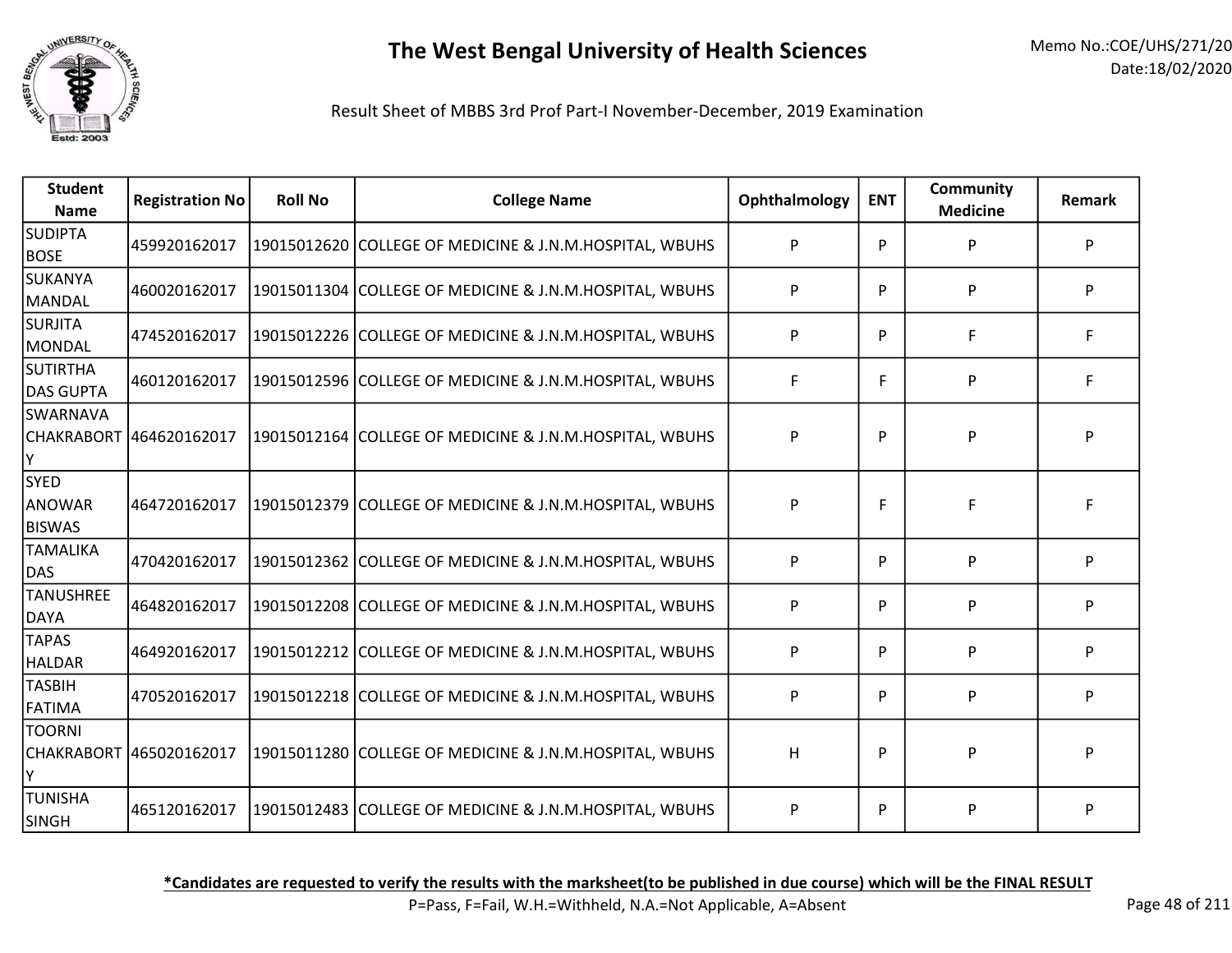

Result Sheet of MBBS 3rd Prof Part-I November-December, 2019 Examination

| <b>Student</b><br><b>Name</b>                 | <b>Registration No</b>  | <b>Roll No</b> | <b>College Name</b>                                     | Ophthalmology | <b>ENT</b> | <b>Community</b><br><b>Medicine</b> | Remark |
|-----------------------------------------------|-------------------------|----------------|---------------------------------------------------------|---------------|------------|-------------------------------------|--------|
| <b>SUDIPTA</b><br><b>BOSE</b>                 | 459920162017            |                | 19015012620 COLLEGE OF MEDICINE & J.N.M.HOSPITAL, WBUHS | P             | P          | P                                   | P      |
| <b>SUKANYA</b><br>MANDAL                      | 460020162017            |                | 19015011304 COLLEGE OF MEDICINE & J.N.M.HOSPITAL, WBUHS | P             | P          | P                                   | P      |
| <b>SURJITA</b><br>MONDAL                      | 474520162017            |                | 19015012226 COLLEGE OF MEDICINE & J.N.M.HOSPITAL, WBUHS | P             | P          | F                                   | F      |
| <b>SUTIRTHA</b><br><b>DAS GUPTA</b>           | 460120162017            |                | 19015012596 COLLEGE OF MEDICINE & J.N.M.HOSPITAL, WBUHS | F             | F          | P                                   | F      |
| <b>SWARNAVA</b><br>Y                          | CHAKRABORT 464620162017 |                | 19015012164 COLLEGE OF MEDICINE & J.N.M.HOSPITAL, WBUHS | P             | P          | P                                   | P      |
| <b>SYED</b><br><b>ANOWAR</b><br><b>BISWAS</b> | 464720162017            |                | 19015012379 COLLEGE OF MEDICINE & J.N.M.HOSPITAL, WBUHS | P             | F          | F                                   | F      |
| <b>TAMALIKA</b><br>DAS                        | 470420162017            |                | 19015012362 COLLEGE OF MEDICINE & J.N.M.HOSPITAL, WBUHS | P             | P          | P                                   | P      |
| <b>TANUSHREE</b><br><b>DAYA</b>               | 464820162017            |                | 19015012208 COLLEGE OF MEDICINE & J.N.M.HOSPITAL, WBUHS | P             | P          | P                                   | P      |
| <b>TAPAS</b><br><b>HALDAR</b>                 | 464920162017            |                | 19015012212 COLLEGE OF MEDICINE & J.N.M.HOSPITAL, WBUHS | P             | P          | P                                   | P      |
| <b>TASBIH</b><br><b>FATIMA</b>                | 470520162017            |                | 19015012218 COLLEGE OF MEDICINE & J.N.M.HOSPITAL, WBUHS | P             | P          | P                                   | P      |
| <b>TOORNI</b><br><b>CHAKRABORT</b><br>lΥ      | 465020162017            |                | 19015011280 COLLEGE OF MEDICINE & J.N.M.HOSPITAL, WBUHS | H             | P          | P                                   | P      |
| <b>TUNISHA</b><br><b>SINGH</b>                | 465120162017            |                | 19015012483 COLLEGE OF MEDICINE & J.N.M.HOSPITAL, WBUHS | P             | P          | P                                   | P      |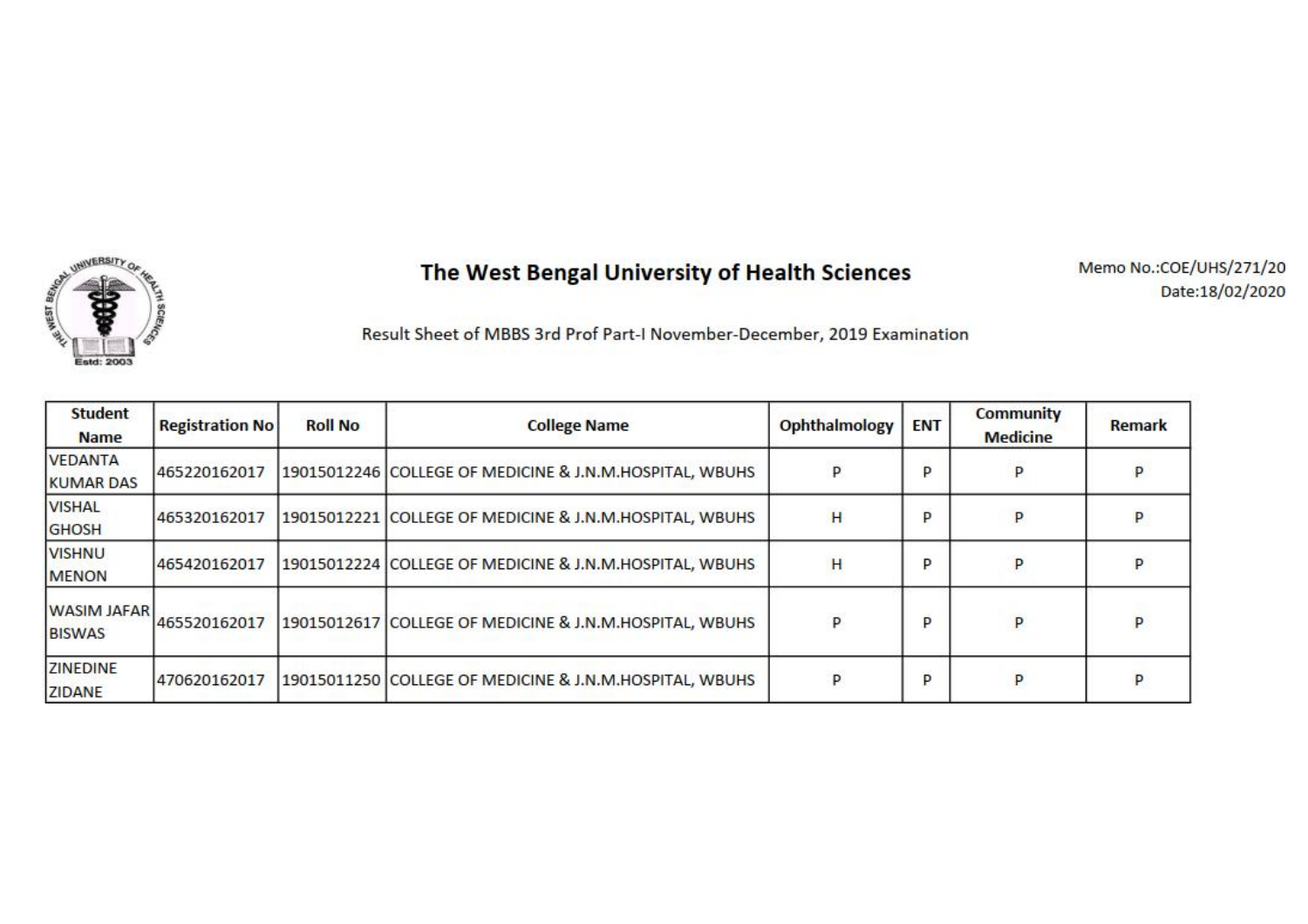

Memo No.: COE/UHS/271/20 Date:18/02/2020

| <b>Student</b><br><b>Name</b>       | <b>Registration No</b> | <b>Roll No</b> | <b>College Name</b>                                     | Ophthalmology | <b>ENT</b> | <b>Community</b><br><b>Medicine</b> | Remark |
|-------------------------------------|------------------------|----------------|---------------------------------------------------------|---------------|------------|-------------------------------------|--------|
| <b>VEDANTA</b><br><b>KUMAR DAS</b>  | 465220162017           |                | 19015012246 COLLEGE OF MEDICINE & J.N.M.HOSPITAL, WBUHS |               | p          | P                                   |        |
| <b>VISHAL</b><br>GHOSH              | 465320162017           |                | 19015012221 COLLEGE OF MEDICINE & J.N.M.HOSPITAL, WBUHS | H             | P          | P                                   |        |
| <b>VISHNU</b><br><b>MENON</b>       | 465420162017           |                | 19015012224 COLLEGE OF MEDICINE & J.N.M.HOSPITAL, WBUHS | Ή             | p          | P                                   |        |
| <b>WASIM JAFAR</b><br><b>BISWAS</b> | 465520162017           |                | 19015012617 COLLEGE OF MEDICINE & J.N.M.HOSPITAL, WBUHS | P             | P          | P                                   | P      |
| <b>ZINEDINE</b><br><b>ZIDANE</b>    | 470620162017           |                | 19015011250 COLLEGE OF MEDICINE & J.N.M.HOSPITAL, WBUHS | p             | p          | P                                   |        |